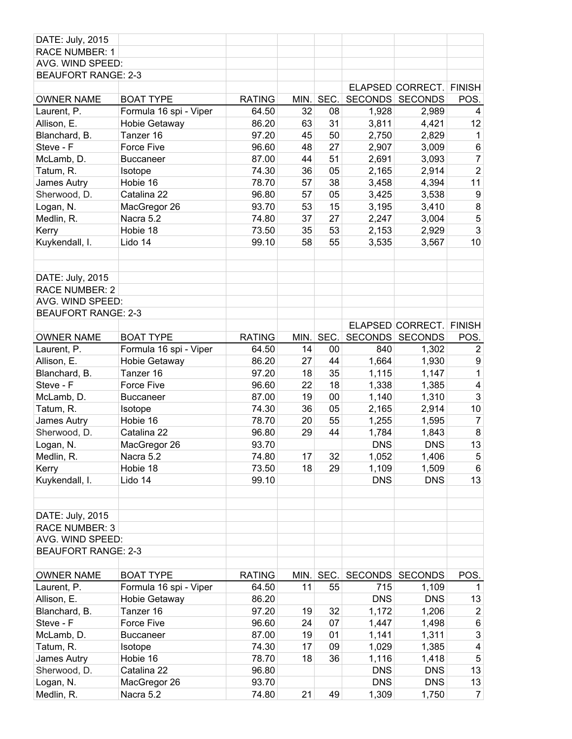| <b>RACE NUMBER: 1</b><br>AVG. WIND SPEED:<br><b>BEAUFORT RANGE: 2-3</b><br>ELAPSED CORRECT.<br><b>FINISH</b><br>SEC.<br><b>RATING</b><br>SECONDS<br><b>SECONDS</b><br>POS.<br><b>OWNER NAME</b><br><b>BOAT TYPE</b><br>MIN.<br>Formula 16 spi - Viper<br>32<br>08<br>2,989<br>Laurent, P.<br>64.50<br>1,928<br>4<br>Allison, E.<br>86.20<br>63<br>31<br>3,811<br>12<br>Hobie Getaway<br>4,421<br>Blanchard, B.<br>Tanzer 16<br>97.20<br>45<br>50<br>2,750<br>2,829<br>$\mathbf{1}$<br>$\,6$<br>Steve - F<br>Force Five<br>96.60<br>48<br>27<br>2,907<br>3,009<br>44<br>51<br>$\overline{7}$<br>McLamb, D.<br>87.00<br>2,691<br>3,093<br><b>Buccaneer</b><br>$\mathbf 2$<br>36<br>74.30<br>05<br>2,165<br>2,914<br>Tatum, R.<br>Isotope<br>78.70<br>57<br>38<br>11<br>Hobie 16<br>3,458<br>4,394<br>James Autry<br>57<br>05<br>Sherwood, D.<br>Catalina 22<br>96.80<br>3,425<br>3,538<br>9<br>15<br>8<br>Logan, N.<br>93.70<br>53<br>3,195<br>3,410<br>MacGregor 26<br>5<br>Medlin, R.<br>Nacra 5.2<br>37<br>27<br>74.80<br>2,247<br>3,004<br>3<br>Kerry<br>Hobie 18<br>73.50<br>35<br>53<br>2,929<br>2,153<br>10<br>Kuykendall, I.<br>Lido 14<br>99.10<br>58<br>55<br>3,535<br>3,567<br>DATE: July, 2015<br><b>RACE NUMBER: 2</b><br>AVG. WIND SPEED:<br><b>BEAUFORT RANGE: 2-3</b><br>ELAPSED CORRECT. FINISH<br>SEC.<br>SECONDS SECONDS<br><b>OWNER NAME</b><br><b>BOAT TYPE</b><br><b>RATING</b><br>POS.<br>MIN.<br>Formula 16 spi - Viper<br>Laurent, P.<br>64.50<br>14<br>00<br>840<br>1,302<br>$\overline{2}$<br>27<br>1,664<br>86.20<br>44<br>1,930<br>9<br>Allison, E.<br>Hobie Getaway<br>35<br>1,115<br>1<br>Tanzer 16<br>97.20<br>18<br>1,147<br>Blanchard, B.<br>18<br>Steve - F<br>Force Five<br>96.60<br>22<br>1,338<br>1,385<br>4<br>3<br>00<br>87.00<br>19<br>1,140<br>McLamb, D.<br><b>Buccaneer</b><br>1,310<br>Tatum, R.<br>36<br>05<br>2,165<br>10<br>Isotope<br>74.30<br>2,914<br>James Autry<br>Hobie 16<br>78.70<br>20<br>55<br>1,255<br>$\overline{7}$<br>1,595<br>$\bf 8$<br>Sherwood, D.<br>96.80<br>29<br>44<br>1,784<br>Catalina 22<br>1,843<br>13<br><b>DNS</b><br>93.70<br><b>DNS</b><br>Logan, N.<br>MacGregor 26<br>74.80<br>17<br>32<br>1,052<br>1,406<br>Medlin, R.<br>Nacra 5.2<br>5<br>73.50<br>29<br>Hobie 18<br>18<br>1,109<br>1,509<br>6<br>Kerry<br>Kuykendall, I.<br><b>DNS</b><br>13<br>Lido 14<br>99.10<br><b>DNS</b><br>DATE: July, 2015<br><b>RACE NUMBER: 3</b><br>AVG. WIND SPEED:<br><b>BEAUFORT RANGE: 2-3</b><br><b>RATING</b><br>SEC.<br><b>SECONDS</b><br>POS.<br><b>OWNER NAME</b><br><b>BOAT TYPE</b><br>MIN.<br><b>SECONDS</b><br>715<br>Laurent, P.<br>Formula 16 spi - Viper<br>64.50<br>11<br>55<br>1,109<br>1<br>Allison, E.<br><b>DNS</b><br><b>DNS</b><br>Hobie Getaway<br>86.20<br>13<br>Blanchard, B.<br>97.20<br>19<br>32<br>1,172<br>1,206<br>$\overline{2}$<br>Tanzer 16<br>07<br>Steve - F<br>96.60<br>24<br>1,447<br>1,498<br>$\,6$<br>Force Five<br>$\mathfrak{3}$<br>19<br>McLamb, D.<br>87.00<br>01<br>1,141<br>1,311<br><b>Buccaneer</b><br>17<br>74.30<br>09<br>1,029<br>1,385<br>$\overline{\mathbf{4}}$<br>Tatum, R.<br>Isotope<br>36<br>1,116<br>$\sqrt{5}$<br>James Autry<br>Hobie 16<br>78.70<br>18<br>1,418<br>13<br>Catalina 22<br>96.80<br><b>DNS</b><br><b>DNS</b><br>Sherwood, D.<br>13<br>93.70<br><b>DNS</b><br><b>DNS</b><br>Logan, N.<br>MacGregor 26<br>1,309 | DATE: July, 2015 |           |       |    |    |       |                |
|-------------------------------------------------------------------------------------------------------------------------------------------------------------------------------------------------------------------------------------------------------------------------------------------------------------------------------------------------------------------------------------------------------------------------------------------------------------------------------------------------------------------------------------------------------------------------------------------------------------------------------------------------------------------------------------------------------------------------------------------------------------------------------------------------------------------------------------------------------------------------------------------------------------------------------------------------------------------------------------------------------------------------------------------------------------------------------------------------------------------------------------------------------------------------------------------------------------------------------------------------------------------------------------------------------------------------------------------------------------------------------------------------------------------------------------------------------------------------------------------------------------------------------------------------------------------------------------------------------------------------------------------------------------------------------------------------------------------------------------------------------------------------------------------------------------------------------------------------------------------------------------------------------------------------------------------------------------------------------------------------------------------------------------------------------------------------------------------------------------------------------------------------------------------------------------------------------------------------------------------------------------------------------------------------------------------------------------------------------------------------------------------------------------------------------------------------------------------------------------------------------------------------------------------------------------------------------------------------------------------------------------------------------------------------------------------------------------------------------------------------------------------------------------------------------------------------------------------------------------------------------------------------------------------------------------------------------------------------------------------------------------------------------------------------------------------------------------------------------------------------------------------------------------------------------------------------------------------------------------------------------------------------------------------------------------------------------------------------------|------------------|-----------|-------|----|----|-------|----------------|
|                                                                                                                                                                                                                                                                                                                                                                                                                                                                                                                                                                                                                                                                                                                                                                                                                                                                                                                                                                                                                                                                                                                                                                                                                                                                                                                                                                                                                                                                                                                                                                                                                                                                                                                                                                                                                                                                                                                                                                                                                                                                                                                                                                                                                                                                                                                                                                                                                                                                                                                                                                                                                                                                                                                                                                                                                                                                                                                                                                                                                                                                                                                                                                                                                                                                                                                                                       |                  |           |       |    |    |       |                |
|                                                                                                                                                                                                                                                                                                                                                                                                                                                                                                                                                                                                                                                                                                                                                                                                                                                                                                                                                                                                                                                                                                                                                                                                                                                                                                                                                                                                                                                                                                                                                                                                                                                                                                                                                                                                                                                                                                                                                                                                                                                                                                                                                                                                                                                                                                                                                                                                                                                                                                                                                                                                                                                                                                                                                                                                                                                                                                                                                                                                                                                                                                                                                                                                                                                                                                                                                       |                  |           |       |    |    |       |                |
|                                                                                                                                                                                                                                                                                                                                                                                                                                                                                                                                                                                                                                                                                                                                                                                                                                                                                                                                                                                                                                                                                                                                                                                                                                                                                                                                                                                                                                                                                                                                                                                                                                                                                                                                                                                                                                                                                                                                                                                                                                                                                                                                                                                                                                                                                                                                                                                                                                                                                                                                                                                                                                                                                                                                                                                                                                                                                                                                                                                                                                                                                                                                                                                                                                                                                                                                                       |                  |           |       |    |    |       |                |
|                                                                                                                                                                                                                                                                                                                                                                                                                                                                                                                                                                                                                                                                                                                                                                                                                                                                                                                                                                                                                                                                                                                                                                                                                                                                                                                                                                                                                                                                                                                                                                                                                                                                                                                                                                                                                                                                                                                                                                                                                                                                                                                                                                                                                                                                                                                                                                                                                                                                                                                                                                                                                                                                                                                                                                                                                                                                                                                                                                                                                                                                                                                                                                                                                                                                                                                                                       |                  |           |       |    |    |       |                |
|                                                                                                                                                                                                                                                                                                                                                                                                                                                                                                                                                                                                                                                                                                                                                                                                                                                                                                                                                                                                                                                                                                                                                                                                                                                                                                                                                                                                                                                                                                                                                                                                                                                                                                                                                                                                                                                                                                                                                                                                                                                                                                                                                                                                                                                                                                                                                                                                                                                                                                                                                                                                                                                                                                                                                                                                                                                                                                                                                                                                                                                                                                                                                                                                                                                                                                                                                       |                  |           |       |    |    |       |                |
|                                                                                                                                                                                                                                                                                                                                                                                                                                                                                                                                                                                                                                                                                                                                                                                                                                                                                                                                                                                                                                                                                                                                                                                                                                                                                                                                                                                                                                                                                                                                                                                                                                                                                                                                                                                                                                                                                                                                                                                                                                                                                                                                                                                                                                                                                                                                                                                                                                                                                                                                                                                                                                                                                                                                                                                                                                                                                                                                                                                                                                                                                                                                                                                                                                                                                                                                                       |                  |           |       |    |    |       |                |
|                                                                                                                                                                                                                                                                                                                                                                                                                                                                                                                                                                                                                                                                                                                                                                                                                                                                                                                                                                                                                                                                                                                                                                                                                                                                                                                                                                                                                                                                                                                                                                                                                                                                                                                                                                                                                                                                                                                                                                                                                                                                                                                                                                                                                                                                                                                                                                                                                                                                                                                                                                                                                                                                                                                                                                                                                                                                                                                                                                                                                                                                                                                                                                                                                                                                                                                                                       |                  |           |       |    |    |       |                |
|                                                                                                                                                                                                                                                                                                                                                                                                                                                                                                                                                                                                                                                                                                                                                                                                                                                                                                                                                                                                                                                                                                                                                                                                                                                                                                                                                                                                                                                                                                                                                                                                                                                                                                                                                                                                                                                                                                                                                                                                                                                                                                                                                                                                                                                                                                                                                                                                                                                                                                                                                                                                                                                                                                                                                                                                                                                                                                                                                                                                                                                                                                                                                                                                                                                                                                                                                       |                  |           |       |    |    |       |                |
|                                                                                                                                                                                                                                                                                                                                                                                                                                                                                                                                                                                                                                                                                                                                                                                                                                                                                                                                                                                                                                                                                                                                                                                                                                                                                                                                                                                                                                                                                                                                                                                                                                                                                                                                                                                                                                                                                                                                                                                                                                                                                                                                                                                                                                                                                                                                                                                                                                                                                                                                                                                                                                                                                                                                                                                                                                                                                                                                                                                                                                                                                                                                                                                                                                                                                                                                                       |                  |           |       |    |    |       |                |
|                                                                                                                                                                                                                                                                                                                                                                                                                                                                                                                                                                                                                                                                                                                                                                                                                                                                                                                                                                                                                                                                                                                                                                                                                                                                                                                                                                                                                                                                                                                                                                                                                                                                                                                                                                                                                                                                                                                                                                                                                                                                                                                                                                                                                                                                                                                                                                                                                                                                                                                                                                                                                                                                                                                                                                                                                                                                                                                                                                                                                                                                                                                                                                                                                                                                                                                                                       |                  |           |       |    |    |       |                |
|                                                                                                                                                                                                                                                                                                                                                                                                                                                                                                                                                                                                                                                                                                                                                                                                                                                                                                                                                                                                                                                                                                                                                                                                                                                                                                                                                                                                                                                                                                                                                                                                                                                                                                                                                                                                                                                                                                                                                                                                                                                                                                                                                                                                                                                                                                                                                                                                                                                                                                                                                                                                                                                                                                                                                                                                                                                                                                                                                                                                                                                                                                                                                                                                                                                                                                                                                       |                  |           |       |    |    |       |                |
|                                                                                                                                                                                                                                                                                                                                                                                                                                                                                                                                                                                                                                                                                                                                                                                                                                                                                                                                                                                                                                                                                                                                                                                                                                                                                                                                                                                                                                                                                                                                                                                                                                                                                                                                                                                                                                                                                                                                                                                                                                                                                                                                                                                                                                                                                                                                                                                                                                                                                                                                                                                                                                                                                                                                                                                                                                                                                                                                                                                                                                                                                                                                                                                                                                                                                                                                                       |                  |           |       |    |    |       |                |
|                                                                                                                                                                                                                                                                                                                                                                                                                                                                                                                                                                                                                                                                                                                                                                                                                                                                                                                                                                                                                                                                                                                                                                                                                                                                                                                                                                                                                                                                                                                                                                                                                                                                                                                                                                                                                                                                                                                                                                                                                                                                                                                                                                                                                                                                                                                                                                                                                                                                                                                                                                                                                                                                                                                                                                                                                                                                                                                                                                                                                                                                                                                                                                                                                                                                                                                                                       |                  |           |       |    |    |       |                |
|                                                                                                                                                                                                                                                                                                                                                                                                                                                                                                                                                                                                                                                                                                                                                                                                                                                                                                                                                                                                                                                                                                                                                                                                                                                                                                                                                                                                                                                                                                                                                                                                                                                                                                                                                                                                                                                                                                                                                                                                                                                                                                                                                                                                                                                                                                                                                                                                                                                                                                                                                                                                                                                                                                                                                                                                                                                                                                                                                                                                                                                                                                                                                                                                                                                                                                                                                       |                  |           |       |    |    |       |                |
|                                                                                                                                                                                                                                                                                                                                                                                                                                                                                                                                                                                                                                                                                                                                                                                                                                                                                                                                                                                                                                                                                                                                                                                                                                                                                                                                                                                                                                                                                                                                                                                                                                                                                                                                                                                                                                                                                                                                                                                                                                                                                                                                                                                                                                                                                                                                                                                                                                                                                                                                                                                                                                                                                                                                                                                                                                                                                                                                                                                                                                                                                                                                                                                                                                                                                                                                                       |                  |           |       |    |    |       |                |
|                                                                                                                                                                                                                                                                                                                                                                                                                                                                                                                                                                                                                                                                                                                                                                                                                                                                                                                                                                                                                                                                                                                                                                                                                                                                                                                                                                                                                                                                                                                                                                                                                                                                                                                                                                                                                                                                                                                                                                                                                                                                                                                                                                                                                                                                                                                                                                                                                                                                                                                                                                                                                                                                                                                                                                                                                                                                                                                                                                                                                                                                                                                                                                                                                                                                                                                                                       |                  |           |       |    |    |       |                |
|                                                                                                                                                                                                                                                                                                                                                                                                                                                                                                                                                                                                                                                                                                                                                                                                                                                                                                                                                                                                                                                                                                                                                                                                                                                                                                                                                                                                                                                                                                                                                                                                                                                                                                                                                                                                                                                                                                                                                                                                                                                                                                                                                                                                                                                                                                                                                                                                                                                                                                                                                                                                                                                                                                                                                                                                                                                                                                                                                                                                                                                                                                                                                                                                                                                                                                                                                       |                  |           |       |    |    |       |                |
|                                                                                                                                                                                                                                                                                                                                                                                                                                                                                                                                                                                                                                                                                                                                                                                                                                                                                                                                                                                                                                                                                                                                                                                                                                                                                                                                                                                                                                                                                                                                                                                                                                                                                                                                                                                                                                                                                                                                                                                                                                                                                                                                                                                                                                                                                                                                                                                                                                                                                                                                                                                                                                                                                                                                                                                                                                                                                                                                                                                                                                                                                                                                                                                                                                                                                                                                                       |                  |           |       |    |    |       |                |
|                                                                                                                                                                                                                                                                                                                                                                                                                                                                                                                                                                                                                                                                                                                                                                                                                                                                                                                                                                                                                                                                                                                                                                                                                                                                                                                                                                                                                                                                                                                                                                                                                                                                                                                                                                                                                                                                                                                                                                                                                                                                                                                                                                                                                                                                                                                                                                                                                                                                                                                                                                                                                                                                                                                                                                                                                                                                                                                                                                                                                                                                                                                                                                                                                                                                                                                                                       |                  |           |       |    |    |       |                |
|                                                                                                                                                                                                                                                                                                                                                                                                                                                                                                                                                                                                                                                                                                                                                                                                                                                                                                                                                                                                                                                                                                                                                                                                                                                                                                                                                                                                                                                                                                                                                                                                                                                                                                                                                                                                                                                                                                                                                                                                                                                                                                                                                                                                                                                                                                                                                                                                                                                                                                                                                                                                                                                                                                                                                                                                                                                                                                                                                                                                                                                                                                                                                                                                                                                                                                                                                       |                  |           |       |    |    |       |                |
|                                                                                                                                                                                                                                                                                                                                                                                                                                                                                                                                                                                                                                                                                                                                                                                                                                                                                                                                                                                                                                                                                                                                                                                                                                                                                                                                                                                                                                                                                                                                                                                                                                                                                                                                                                                                                                                                                                                                                                                                                                                                                                                                                                                                                                                                                                                                                                                                                                                                                                                                                                                                                                                                                                                                                                                                                                                                                                                                                                                                                                                                                                                                                                                                                                                                                                                                                       |                  |           |       |    |    |       |                |
|                                                                                                                                                                                                                                                                                                                                                                                                                                                                                                                                                                                                                                                                                                                                                                                                                                                                                                                                                                                                                                                                                                                                                                                                                                                                                                                                                                                                                                                                                                                                                                                                                                                                                                                                                                                                                                                                                                                                                                                                                                                                                                                                                                                                                                                                                                                                                                                                                                                                                                                                                                                                                                                                                                                                                                                                                                                                                                                                                                                                                                                                                                                                                                                                                                                                                                                                                       |                  |           |       |    |    |       |                |
|                                                                                                                                                                                                                                                                                                                                                                                                                                                                                                                                                                                                                                                                                                                                                                                                                                                                                                                                                                                                                                                                                                                                                                                                                                                                                                                                                                                                                                                                                                                                                                                                                                                                                                                                                                                                                                                                                                                                                                                                                                                                                                                                                                                                                                                                                                                                                                                                                                                                                                                                                                                                                                                                                                                                                                                                                                                                                                                                                                                                                                                                                                                                                                                                                                                                                                                                                       |                  |           |       |    |    |       |                |
|                                                                                                                                                                                                                                                                                                                                                                                                                                                                                                                                                                                                                                                                                                                                                                                                                                                                                                                                                                                                                                                                                                                                                                                                                                                                                                                                                                                                                                                                                                                                                                                                                                                                                                                                                                                                                                                                                                                                                                                                                                                                                                                                                                                                                                                                                                                                                                                                                                                                                                                                                                                                                                                                                                                                                                                                                                                                                                                                                                                                                                                                                                                                                                                                                                                                                                                                                       |                  |           |       |    |    |       |                |
|                                                                                                                                                                                                                                                                                                                                                                                                                                                                                                                                                                                                                                                                                                                                                                                                                                                                                                                                                                                                                                                                                                                                                                                                                                                                                                                                                                                                                                                                                                                                                                                                                                                                                                                                                                                                                                                                                                                                                                                                                                                                                                                                                                                                                                                                                                                                                                                                                                                                                                                                                                                                                                                                                                                                                                                                                                                                                                                                                                                                                                                                                                                                                                                                                                                                                                                                                       |                  |           |       |    |    |       |                |
|                                                                                                                                                                                                                                                                                                                                                                                                                                                                                                                                                                                                                                                                                                                                                                                                                                                                                                                                                                                                                                                                                                                                                                                                                                                                                                                                                                                                                                                                                                                                                                                                                                                                                                                                                                                                                                                                                                                                                                                                                                                                                                                                                                                                                                                                                                                                                                                                                                                                                                                                                                                                                                                                                                                                                                                                                                                                                                                                                                                                                                                                                                                                                                                                                                                                                                                                                       |                  |           |       |    |    |       |                |
|                                                                                                                                                                                                                                                                                                                                                                                                                                                                                                                                                                                                                                                                                                                                                                                                                                                                                                                                                                                                                                                                                                                                                                                                                                                                                                                                                                                                                                                                                                                                                                                                                                                                                                                                                                                                                                                                                                                                                                                                                                                                                                                                                                                                                                                                                                                                                                                                                                                                                                                                                                                                                                                                                                                                                                                                                                                                                                                                                                                                                                                                                                                                                                                                                                                                                                                                                       |                  |           |       |    |    |       |                |
|                                                                                                                                                                                                                                                                                                                                                                                                                                                                                                                                                                                                                                                                                                                                                                                                                                                                                                                                                                                                                                                                                                                                                                                                                                                                                                                                                                                                                                                                                                                                                                                                                                                                                                                                                                                                                                                                                                                                                                                                                                                                                                                                                                                                                                                                                                                                                                                                                                                                                                                                                                                                                                                                                                                                                                                                                                                                                                                                                                                                                                                                                                                                                                                                                                                                                                                                                       |                  |           |       |    |    |       |                |
|                                                                                                                                                                                                                                                                                                                                                                                                                                                                                                                                                                                                                                                                                                                                                                                                                                                                                                                                                                                                                                                                                                                                                                                                                                                                                                                                                                                                                                                                                                                                                                                                                                                                                                                                                                                                                                                                                                                                                                                                                                                                                                                                                                                                                                                                                                                                                                                                                                                                                                                                                                                                                                                                                                                                                                                                                                                                                                                                                                                                                                                                                                                                                                                                                                                                                                                                                       |                  |           |       |    |    |       |                |
|                                                                                                                                                                                                                                                                                                                                                                                                                                                                                                                                                                                                                                                                                                                                                                                                                                                                                                                                                                                                                                                                                                                                                                                                                                                                                                                                                                                                                                                                                                                                                                                                                                                                                                                                                                                                                                                                                                                                                                                                                                                                                                                                                                                                                                                                                                                                                                                                                                                                                                                                                                                                                                                                                                                                                                                                                                                                                                                                                                                                                                                                                                                                                                                                                                                                                                                                                       |                  |           |       |    |    |       |                |
|                                                                                                                                                                                                                                                                                                                                                                                                                                                                                                                                                                                                                                                                                                                                                                                                                                                                                                                                                                                                                                                                                                                                                                                                                                                                                                                                                                                                                                                                                                                                                                                                                                                                                                                                                                                                                                                                                                                                                                                                                                                                                                                                                                                                                                                                                                                                                                                                                                                                                                                                                                                                                                                                                                                                                                                                                                                                                                                                                                                                                                                                                                                                                                                                                                                                                                                                                       |                  |           |       |    |    |       |                |
|                                                                                                                                                                                                                                                                                                                                                                                                                                                                                                                                                                                                                                                                                                                                                                                                                                                                                                                                                                                                                                                                                                                                                                                                                                                                                                                                                                                                                                                                                                                                                                                                                                                                                                                                                                                                                                                                                                                                                                                                                                                                                                                                                                                                                                                                                                                                                                                                                                                                                                                                                                                                                                                                                                                                                                                                                                                                                                                                                                                                                                                                                                                                                                                                                                                                                                                                                       |                  |           |       |    |    |       |                |
|                                                                                                                                                                                                                                                                                                                                                                                                                                                                                                                                                                                                                                                                                                                                                                                                                                                                                                                                                                                                                                                                                                                                                                                                                                                                                                                                                                                                                                                                                                                                                                                                                                                                                                                                                                                                                                                                                                                                                                                                                                                                                                                                                                                                                                                                                                                                                                                                                                                                                                                                                                                                                                                                                                                                                                                                                                                                                                                                                                                                                                                                                                                                                                                                                                                                                                                                                       |                  |           |       |    |    |       |                |
|                                                                                                                                                                                                                                                                                                                                                                                                                                                                                                                                                                                                                                                                                                                                                                                                                                                                                                                                                                                                                                                                                                                                                                                                                                                                                                                                                                                                                                                                                                                                                                                                                                                                                                                                                                                                                                                                                                                                                                                                                                                                                                                                                                                                                                                                                                                                                                                                                                                                                                                                                                                                                                                                                                                                                                                                                                                                                                                                                                                                                                                                                                                                                                                                                                                                                                                                                       |                  |           |       |    |    |       |                |
|                                                                                                                                                                                                                                                                                                                                                                                                                                                                                                                                                                                                                                                                                                                                                                                                                                                                                                                                                                                                                                                                                                                                                                                                                                                                                                                                                                                                                                                                                                                                                                                                                                                                                                                                                                                                                                                                                                                                                                                                                                                                                                                                                                                                                                                                                                                                                                                                                                                                                                                                                                                                                                                                                                                                                                                                                                                                                                                                                                                                                                                                                                                                                                                                                                                                                                                                                       |                  |           |       |    |    |       |                |
|                                                                                                                                                                                                                                                                                                                                                                                                                                                                                                                                                                                                                                                                                                                                                                                                                                                                                                                                                                                                                                                                                                                                                                                                                                                                                                                                                                                                                                                                                                                                                                                                                                                                                                                                                                                                                                                                                                                                                                                                                                                                                                                                                                                                                                                                                                                                                                                                                                                                                                                                                                                                                                                                                                                                                                                                                                                                                                                                                                                                                                                                                                                                                                                                                                                                                                                                                       |                  |           |       |    |    |       |                |
|                                                                                                                                                                                                                                                                                                                                                                                                                                                                                                                                                                                                                                                                                                                                                                                                                                                                                                                                                                                                                                                                                                                                                                                                                                                                                                                                                                                                                                                                                                                                                                                                                                                                                                                                                                                                                                                                                                                                                                                                                                                                                                                                                                                                                                                                                                                                                                                                                                                                                                                                                                                                                                                                                                                                                                                                                                                                                                                                                                                                                                                                                                                                                                                                                                                                                                                                                       |                  |           |       |    |    |       |                |
|                                                                                                                                                                                                                                                                                                                                                                                                                                                                                                                                                                                                                                                                                                                                                                                                                                                                                                                                                                                                                                                                                                                                                                                                                                                                                                                                                                                                                                                                                                                                                                                                                                                                                                                                                                                                                                                                                                                                                                                                                                                                                                                                                                                                                                                                                                                                                                                                                                                                                                                                                                                                                                                                                                                                                                                                                                                                                                                                                                                                                                                                                                                                                                                                                                                                                                                                                       |                  |           |       |    |    |       |                |
|                                                                                                                                                                                                                                                                                                                                                                                                                                                                                                                                                                                                                                                                                                                                                                                                                                                                                                                                                                                                                                                                                                                                                                                                                                                                                                                                                                                                                                                                                                                                                                                                                                                                                                                                                                                                                                                                                                                                                                                                                                                                                                                                                                                                                                                                                                                                                                                                                                                                                                                                                                                                                                                                                                                                                                                                                                                                                                                                                                                                                                                                                                                                                                                                                                                                                                                                                       |                  |           |       |    |    |       |                |
|                                                                                                                                                                                                                                                                                                                                                                                                                                                                                                                                                                                                                                                                                                                                                                                                                                                                                                                                                                                                                                                                                                                                                                                                                                                                                                                                                                                                                                                                                                                                                                                                                                                                                                                                                                                                                                                                                                                                                                                                                                                                                                                                                                                                                                                                                                                                                                                                                                                                                                                                                                                                                                                                                                                                                                                                                                                                                                                                                                                                                                                                                                                                                                                                                                                                                                                                                       |                  |           |       |    |    |       |                |
|                                                                                                                                                                                                                                                                                                                                                                                                                                                                                                                                                                                                                                                                                                                                                                                                                                                                                                                                                                                                                                                                                                                                                                                                                                                                                                                                                                                                                                                                                                                                                                                                                                                                                                                                                                                                                                                                                                                                                                                                                                                                                                                                                                                                                                                                                                                                                                                                                                                                                                                                                                                                                                                                                                                                                                                                                                                                                                                                                                                                                                                                                                                                                                                                                                                                                                                                                       |                  |           |       |    |    |       |                |
|                                                                                                                                                                                                                                                                                                                                                                                                                                                                                                                                                                                                                                                                                                                                                                                                                                                                                                                                                                                                                                                                                                                                                                                                                                                                                                                                                                                                                                                                                                                                                                                                                                                                                                                                                                                                                                                                                                                                                                                                                                                                                                                                                                                                                                                                                                                                                                                                                                                                                                                                                                                                                                                                                                                                                                                                                                                                                                                                                                                                                                                                                                                                                                                                                                                                                                                                                       |                  |           |       |    |    |       |                |
|                                                                                                                                                                                                                                                                                                                                                                                                                                                                                                                                                                                                                                                                                                                                                                                                                                                                                                                                                                                                                                                                                                                                                                                                                                                                                                                                                                                                                                                                                                                                                                                                                                                                                                                                                                                                                                                                                                                                                                                                                                                                                                                                                                                                                                                                                                                                                                                                                                                                                                                                                                                                                                                                                                                                                                                                                                                                                                                                                                                                                                                                                                                                                                                                                                                                                                                                                       |                  |           |       |    |    |       |                |
|                                                                                                                                                                                                                                                                                                                                                                                                                                                                                                                                                                                                                                                                                                                                                                                                                                                                                                                                                                                                                                                                                                                                                                                                                                                                                                                                                                                                                                                                                                                                                                                                                                                                                                                                                                                                                                                                                                                                                                                                                                                                                                                                                                                                                                                                                                                                                                                                                                                                                                                                                                                                                                                                                                                                                                                                                                                                                                                                                                                                                                                                                                                                                                                                                                                                                                                                                       |                  |           |       |    |    |       |                |
|                                                                                                                                                                                                                                                                                                                                                                                                                                                                                                                                                                                                                                                                                                                                                                                                                                                                                                                                                                                                                                                                                                                                                                                                                                                                                                                                                                                                                                                                                                                                                                                                                                                                                                                                                                                                                                                                                                                                                                                                                                                                                                                                                                                                                                                                                                                                                                                                                                                                                                                                                                                                                                                                                                                                                                                                                                                                                                                                                                                                                                                                                                                                                                                                                                                                                                                                                       |                  |           |       |    |    |       |                |
|                                                                                                                                                                                                                                                                                                                                                                                                                                                                                                                                                                                                                                                                                                                                                                                                                                                                                                                                                                                                                                                                                                                                                                                                                                                                                                                                                                                                                                                                                                                                                                                                                                                                                                                                                                                                                                                                                                                                                                                                                                                                                                                                                                                                                                                                                                                                                                                                                                                                                                                                                                                                                                                                                                                                                                                                                                                                                                                                                                                                                                                                                                                                                                                                                                                                                                                                                       |                  |           |       |    |    |       |                |
|                                                                                                                                                                                                                                                                                                                                                                                                                                                                                                                                                                                                                                                                                                                                                                                                                                                                                                                                                                                                                                                                                                                                                                                                                                                                                                                                                                                                                                                                                                                                                                                                                                                                                                                                                                                                                                                                                                                                                                                                                                                                                                                                                                                                                                                                                                                                                                                                                                                                                                                                                                                                                                                                                                                                                                                                                                                                                                                                                                                                                                                                                                                                                                                                                                                                                                                                                       |                  |           |       |    |    |       |                |
|                                                                                                                                                                                                                                                                                                                                                                                                                                                                                                                                                                                                                                                                                                                                                                                                                                                                                                                                                                                                                                                                                                                                                                                                                                                                                                                                                                                                                                                                                                                                                                                                                                                                                                                                                                                                                                                                                                                                                                                                                                                                                                                                                                                                                                                                                                                                                                                                                                                                                                                                                                                                                                                                                                                                                                                                                                                                                                                                                                                                                                                                                                                                                                                                                                                                                                                                                       |                  |           |       |    |    |       |                |
|                                                                                                                                                                                                                                                                                                                                                                                                                                                                                                                                                                                                                                                                                                                                                                                                                                                                                                                                                                                                                                                                                                                                                                                                                                                                                                                                                                                                                                                                                                                                                                                                                                                                                                                                                                                                                                                                                                                                                                                                                                                                                                                                                                                                                                                                                                                                                                                                                                                                                                                                                                                                                                                                                                                                                                                                                                                                                                                                                                                                                                                                                                                                                                                                                                                                                                                                                       |                  |           |       |    |    |       |                |
|                                                                                                                                                                                                                                                                                                                                                                                                                                                                                                                                                                                                                                                                                                                                                                                                                                                                                                                                                                                                                                                                                                                                                                                                                                                                                                                                                                                                                                                                                                                                                                                                                                                                                                                                                                                                                                                                                                                                                                                                                                                                                                                                                                                                                                                                                                                                                                                                                                                                                                                                                                                                                                                                                                                                                                                                                                                                                                                                                                                                                                                                                                                                                                                                                                                                                                                                                       |                  |           |       |    |    |       |                |
|                                                                                                                                                                                                                                                                                                                                                                                                                                                                                                                                                                                                                                                                                                                                                                                                                                                                                                                                                                                                                                                                                                                                                                                                                                                                                                                                                                                                                                                                                                                                                                                                                                                                                                                                                                                                                                                                                                                                                                                                                                                                                                                                                                                                                                                                                                                                                                                                                                                                                                                                                                                                                                                                                                                                                                                                                                                                                                                                                                                                                                                                                                                                                                                                                                                                                                                                                       |                  |           |       |    |    |       |                |
|                                                                                                                                                                                                                                                                                                                                                                                                                                                                                                                                                                                                                                                                                                                                                                                                                                                                                                                                                                                                                                                                                                                                                                                                                                                                                                                                                                                                                                                                                                                                                                                                                                                                                                                                                                                                                                                                                                                                                                                                                                                                                                                                                                                                                                                                                                                                                                                                                                                                                                                                                                                                                                                                                                                                                                                                                                                                                                                                                                                                                                                                                                                                                                                                                                                                                                                                                       |                  |           |       |    |    |       |                |
|                                                                                                                                                                                                                                                                                                                                                                                                                                                                                                                                                                                                                                                                                                                                                                                                                                                                                                                                                                                                                                                                                                                                                                                                                                                                                                                                                                                                                                                                                                                                                                                                                                                                                                                                                                                                                                                                                                                                                                                                                                                                                                                                                                                                                                                                                                                                                                                                                                                                                                                                                                                                                                                                                                                                                                                                                                                                                                                                                                                                                                                                                                                                                                                                                                                                                                                                                       |                  |           |       |    |    |       |                |
|                                                                                                                                                                                                                                                                                                                                                                                                                                                                                                                                                                                                                                                                                                                                                                                                                                                                                                                                                                                                                                                                                                                                                                                                                                                                                                                                                                                                                                                                                                                                                                                                                                                                                                                                                                                                                                                                                                                                                                                                                                                                                                                                                                                                                                                                                                                                                                                                                                                                                                                                                                                                                                                                                                                                                                                                                                                                                                                                                                                                                                                                                                                                                                                                                                                                                                                                                       |                  |           |       |    |    |       |                |
|                                                                                                                                                                                                                                                                                                                                                                                                                                                                                                                                                                                                                                                                                                                                                                                                                                                                                                                                                                                                                                                                                                                                                                                                                                                                                                                                                                                                                                                                                                                                                                                                                                                                                                                                                                                                                                                                                                                                                                                                                                                                                                                                                                                                                                                                                                                                                                                                                                                                                                                                                                                                                                                                                                                                                                                                                                                                                                                                                                                                                                                                                                                                                                                                                                                                                                                                                       |                  |           |       |    |    |       |                |
|                                                                                                                                                                                                                                                                                                                                                                                                                                                                                                                                                                                                                                                                                                                                                                                                                                                                                                                                                                                                                                                                                                                                                                                                                                                                                                                                                                                                                                                                                                                                                                                                                                                                                                                                                                                                                                                                                                                                                                                                                                                                                                                                                                                                                                                                                                                                                                                                                                                                                                                                                                                                                                                                                                                                                                                                                                                                                                                                                                                                                                                                                                                                                                                                                                                                                                                                                       |                  |           |       |    |    |       |                |
|                                                                                                                                                                                                                                                                                                                                                                                                                                                                                                                                                                                                                                                                                                                                                                                                                                                                                                                                                                                                                                                                                                                                                                                                                                                                                                                                                                                                                                                                                                                                                                                                                                                                                                                                                                                                                                                                                                                                                                                                                                                                                                                                                                                                                                                                                                                                                                                                                                                                                                                                                                                                                                                                                                                                                                                                                                                                                                                                                                                                                                                                                                                                                                                                                                                                                                                                                       | Medlin, R.       | Nacra 5.2 | 74.80 | 21 | 49 | 1,750 | $\overline{7}$ |